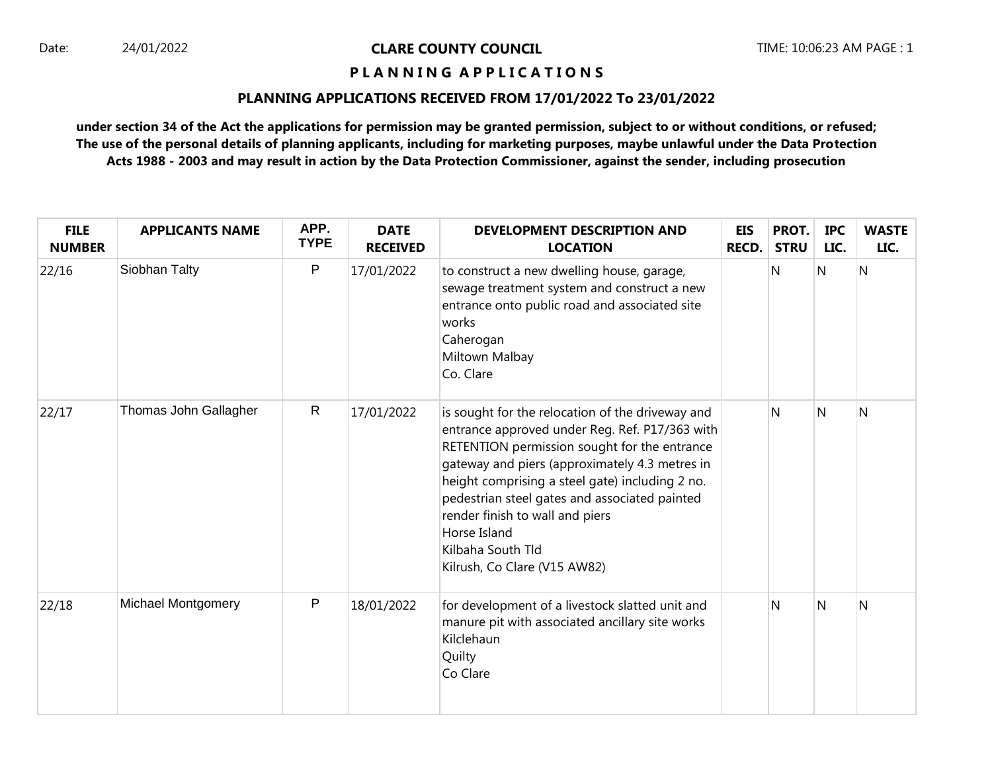# **P L A N N I N G A P P L I C A T I O N S**

#### **PLANNING APPLICATIONS RECEIVED FROM 17/01/2022 To 23/01/2022**

| <b>FILE</b><br><b>NUMBER</b> | <b>APPLICANTS NAME</b>    | APP.<br><b>TYPE</b> | <b>DATE</b><br><b>RECEIVED</b> | <b>DEVELOPMENT DESCRIPTION AND</b><br><b>LOCATION</b>                                                                                                                                                                                                                                                                                                                                                            | <b>EIS</b><br><b>RECD.</b> | PROT.<br><b>STRU</b> | <b>IPC</b><br>LIC. | <b>WASTE</b><br>LIC. |
|------------------------------|---------------------------|---------------------|--------------------------------|------------------------------------------------------------------------------------------------------------------------------------------------------------------------------------------------------------------------------------------------------------------------------------------------------------------------------------------------------------------------------------------------------------------|----------------------------|----------------------|--------------------|----------------------|
| 22/16                        | Siobhan Talty             | P                   | 17/01/2022                     | to construct a new dwelling house, garage,<br>sewage treatment system and construct a new<br>entrance onto public road and associated site<br>works<br>Caherogan<br>Miltown Malbay<br>Co. Clare                                                                                                                                                                                                                  |                            | Ν                    | N                  | $\overline{N}$       |
| 22/17                        | Thomas John Gallagher     | $\mathsf{R}$        | 17/01/2022                     | is sought for the relocation of the driveway and<br>entrance approved under Reg. Ref. P17/363 with<br>RETENTION permission sought for the entrance<br>gateway and piers (approximately 4.3 metres in<br>height comprising a steel gate) including 2 no.<br>pedestrian steel gates and associated painted<br>render finish to wall and piers<br>Horse Island<br>Kilbaha South Tld<br>Kilrush, Co Clare (V15 AW82) |                            | N                    | N                  | $\overline{N}$       |
| 22/18                        | <b>Michael Montgomery</b> | P                   | 18/01/2022                     | for development of a livestock slatted unit and<br>manure pit with associated ancillary site works<br>Kilclehaun<br>Quilty<br>Co Clare                                                                                                                                                                                                                                                                           |                            | N                    | N                  | N                    |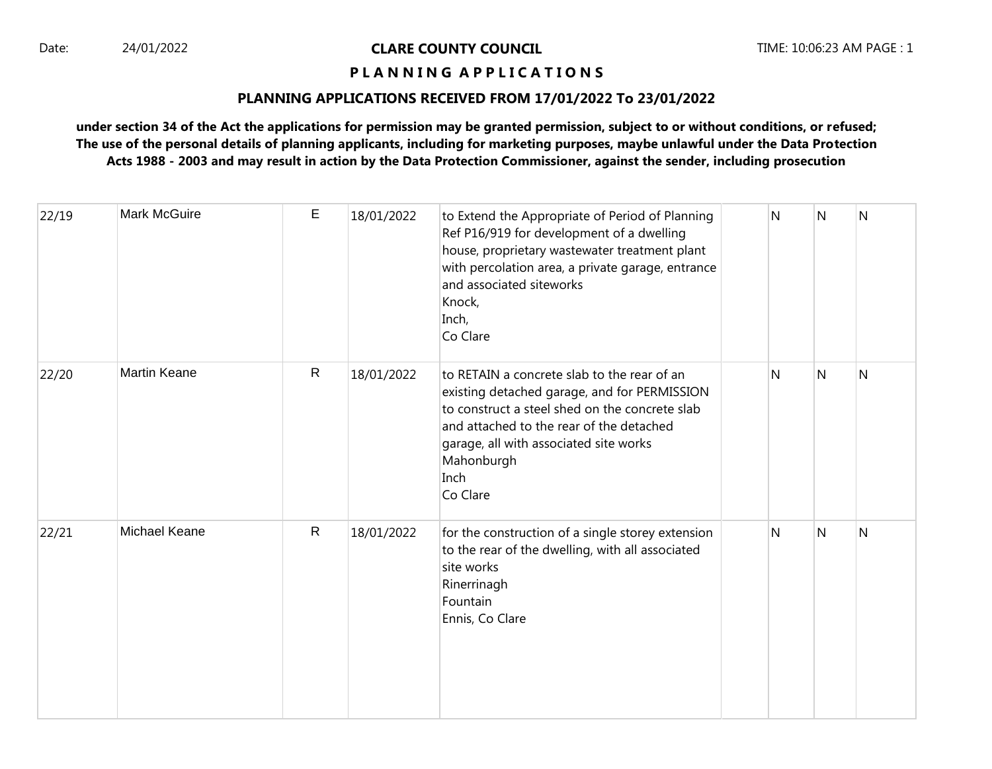# **P L A N N I N G A P P L I C A T I O N S**

#### **PLANNING APPLICATIONS RECEIVED FROM 17/01/2022 To 23/01/2022**

| 22/19 | <b>Mark McGuire</b>  | E            | 18/01/2022 | to Extend the Appropriate of Period of Planning<br>Ref P16/919 for development of a dwelling<br>house, proprietary wastewater treatment plant<br>with percolation area, a private garage, entrance<br>and associated siteworks<br>Knock,<br>Inch,<br>Co Clare         | N | $\mathsf{N}$ | $\mathsf{N}$ |
|-------|----------------------|--------------|------------|-----------------------------------------------------------------------------------------------------------------------------------------------------------------------------------------------------------------------------------------------------------------------|---|--------------|--------------|
| 22/20 | <b>Martin Keane</b>  | $\mathsf{R}$ | 18/01/2022 | to RETAIN a concrete slab to the rear of an<br>existing detached garage, and for PERMISSION<br>to construct a steel shed on the concrete slab<br>and attached to the rear of the detached<br>garage, all with associated site works<br>Mahonburgh<br>Inch<br>Co Clare | N | N            | N            |
| 22/21 | <b>Michael Keane</b> | $\mathsf{R}$ | 18/01/2022 | for the construction of a single storey extension<br>to the rear of the dwelling, with all associated<br>site works<br>Rinerrinagh<br>Fountain<br>Ennis, Co Clare                                                                                                     | N | N            | N            |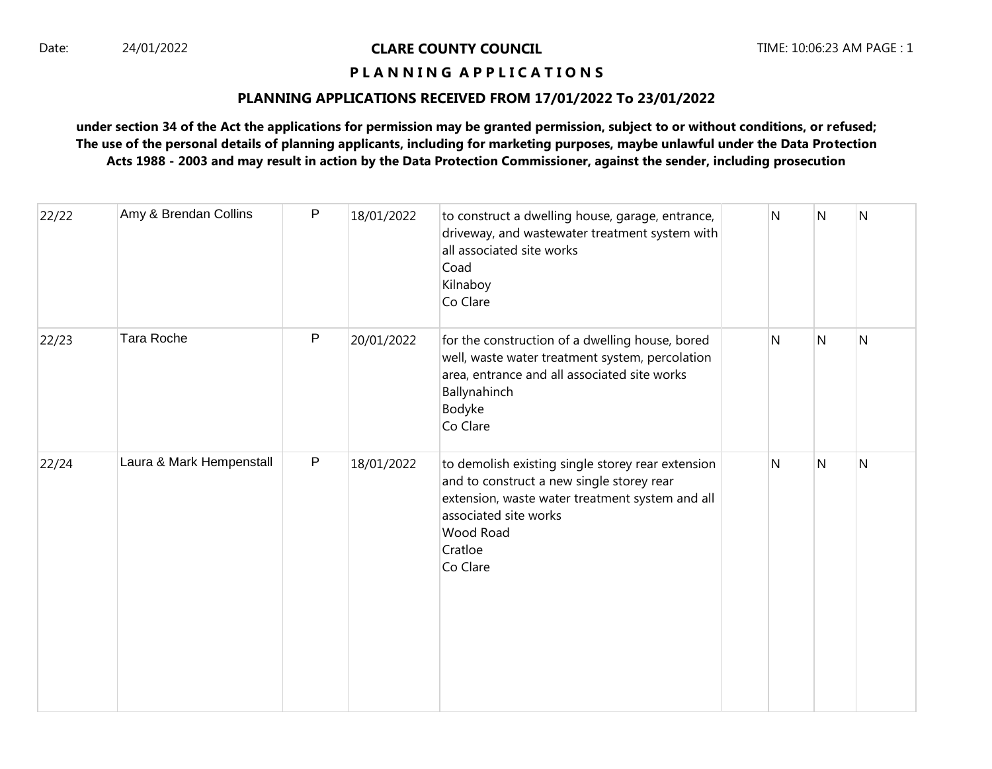# **P L A N N I N G A P P L I C A T I O N S**

#### **PLANNING APPLICATIONS RECEIVED FROM 17/01/2022 To 23/01/2022**

| 22/22 | Amy & Brendan Collins    | P            | 18/01/2022 | to construct a dwelling house, garage, entrance,<br>driveway, and wastewater treatment system with<br>all associated site works<br>Coad<br>Kilnaboy<br>Co Clare                                                | N | N | ${\sf N}$      |
|-------|--------------------------|--------------|------------|----------------------------------------------------------------------------------------------------------------------------------------------------------------------------------------------------------------|---|---|----------------|
| 22/23 | Tara Roche               | P            | 20/01/2022 | for the construction of a dwelling house, bored<br>well, waste water treatment system, percolation<br>area, entrance and all associated site works<br>Ballynahinch<br>Bodyke<br>Co Clare                       | Ν | N | $\overline{N}$ |
| 22/24 | Laura & Mark Hempenstall | $\mathsf{P}$ | 18/01/2022 | to demolish existing single storey rear extension<br>and to construct a new single storey rear<br>extension, waste water treatment system and all<br>associated site works<br>Wood Road<br>Cratloe<br>Co Clare | Ν | N | $\overline{N}$ |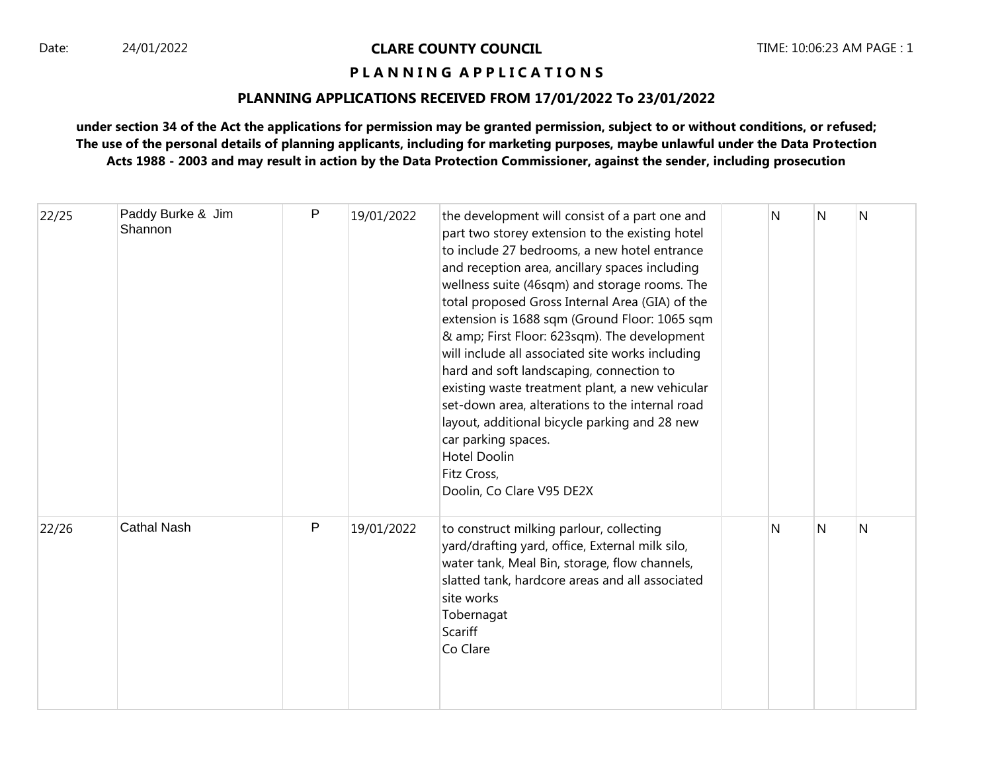# **P L A N N I N G A P P L I C A T I O N S**

#### **PLANNING APPLICATIONS RECEIVED FROM 17/01/2022 To 23/01/2022**

| 22/25 | Paddy Burke & Jim<br>Shannon | ${\sf P}$    | 19/01/2022 | the development will consist of a part one and<br>part two storey extension to the existing hotel<br>to include 27 bedrooms, a new hotel entrance<br>and reception area, ancillary spaces including<br>wellness suite (46sqm) and storage rooms. The<br>total proposed Gross Internal Area (GIA) of the<br>extension is 1688 sqm (Ground Floor: 1065 sqm<br>& amp; First Floor: 623sqm). The development<br>will include all associated site works including<br>hard and soft landscaping, connection to<br>existing waste treatment plant, a new vehicular<br>set-down area, alterations to the internal road<br>layout, additional bicycle parking and 28 new<br>car parking spaces.<br><b>Hotel Doolin</b><br>Fitz Cross,<br>Doolin, Co Clare V95 DE2X | N | N | N |
|-------|------------------------------|--------------|------------|-----------------------------------------------------------------------------------------------------------------------------------------------------------------------------------------------------------------------------------------------------------------------------------------------------------------------------------------------------------------------------------------------------------------------------------------------------------------------------------------------------------------------------------------------------------------------------------------------------------------------------------------------------------------------------------------------------------------------------------------------------------|---|---|---|
| 22/26 | <b>Cathal Nash</b>           | $\mathsf{P}$ | 19/01/2022 | to construct milking parlour, collecting<br>yard/drafting yard, office, External milk silo,<br>water tank, Meal Bin, storage, flow channels,<br>slatted tank, hardcore areas and all associated<br>site works<br>Tobernagat<br>Scariff<br>Co Clare                                                                                                                                                                                                                                                                                                                                                                                                                                                                                                        | N | N | N |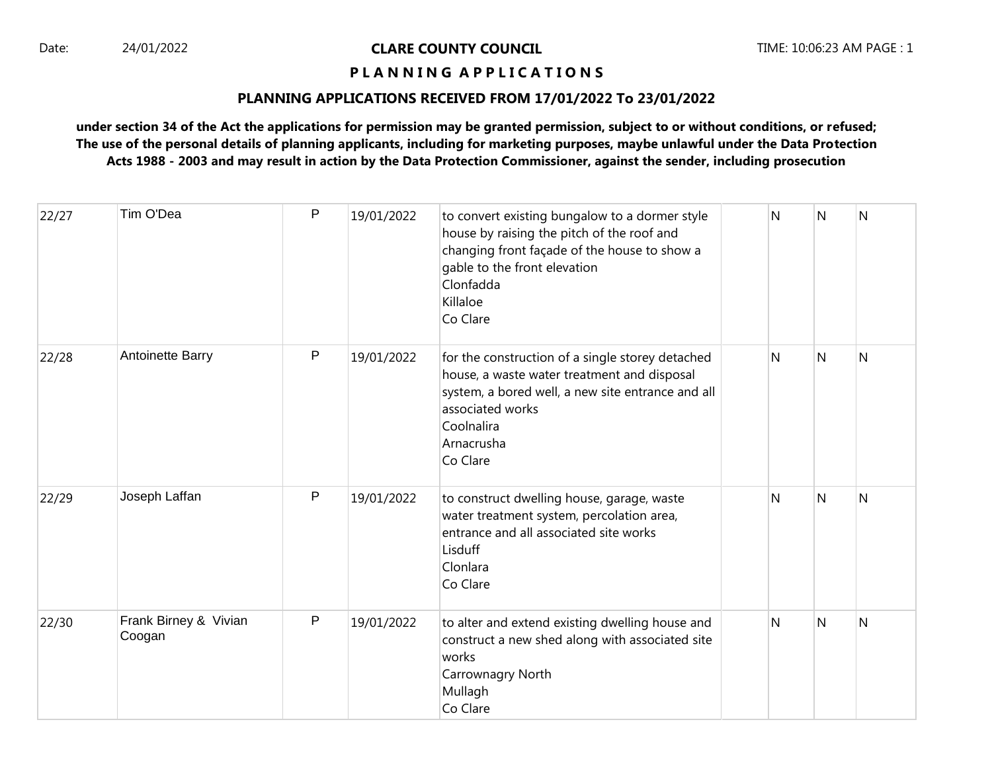# **P L A N N I N G A P P L I C A T I O N S**

#### **PLANNING APPLICATIONS RECEIVED FROM 17/01/2022 To 23/01/2022**

| 22/27 | Tim O'Dea                       | P | 19/01/2022 | to convert existing bungalow to a dormer style<br>house by raising the pitch of the roof and<br>changing front façade of the house to show a<br>gable to the front elevation<br>Clonfadda<br>Killaloe<br>Co Clare | N | N | Ν |
|-------|---------------------------------|---|------------|-------------------------------------------------------------------------------------------------------------------------------------------------------------------------------------------------------------------|---|---|---|
| 22/28 | Antoinette Barry                | P | 19/01/2022 | for the construction of a single storey detached<br>house, a waste water treatment and disposal<br>system, a bored well, a new site entrance and all<br>associated works<br>Coolnalira<br>Arnacrusha<br>Co Clare  | N | N | N |
| 22/29 | Joseph Laffan                   | P | 19/01/2022 | to construct dwelling house, garage, waste<br>water treatment system, percolation area,<br>entrance and all associated site works<br>Lisduff<br>Clonlara<br>Co Clare                                              | N | N | N |
| 22/30 | Frank Birney & Vivian<br>Coogan | P | 19/01/2022 | to alter and extend existing dwelling house and<br>construct a new shed along with associated site<br>works<br>Carrownagry North<br>Mullagh<br>Co Clare                                                           | N | N | Ν |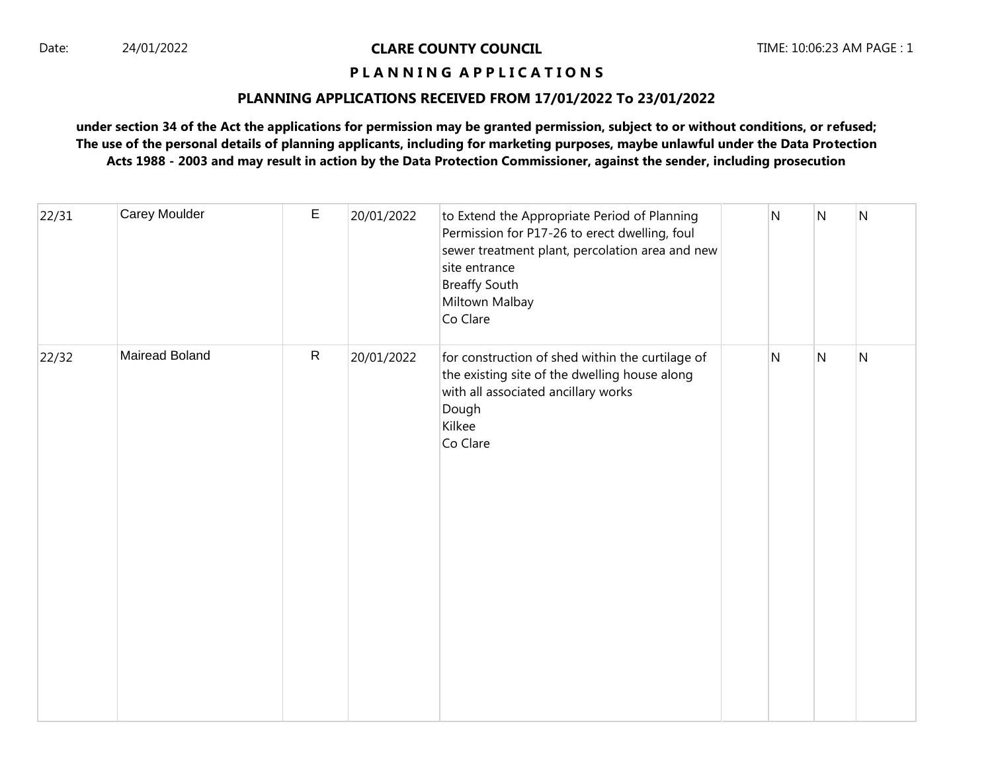# **P L A N N I N G A P P L I C A T I O N S**

#### **PLANNING APPLICATIONS RECEIVED FROM 17/01/2022 To 23/01/2022**

| 22/31 | Carey Moulder  | E            | 20/01/2022 | to Extend the Appropriate Period of Planning<br>Permission for P17-26 to erect dwelling, foul<br>sewer treatment plant, percolation area and new<br>site entrance<br><b>Breaffy South</b><br>Miltown Malbay<br>Co Clare | $\overline{\mathsf{N}}$ | $\overline{\mathsf{N}}$ | ${\sf N}$ |
|-------|----------------|--------------|------------|-------------------------------------------------------------------------------------------------------------------------------------------------------------------------------------------------------------------------|-------------------------|-------------------------|-----------|
| 22/32 | Mairead Boland | $\mathsf{R}$ | 20/01/2022 | for construction of shed within the curtilage of<br>the existing site of the dwelling house along<br>with all associated ancillary works<br>Dough<br>Kilkee<br>Co Clare                                                 | N                       | N                       | N         |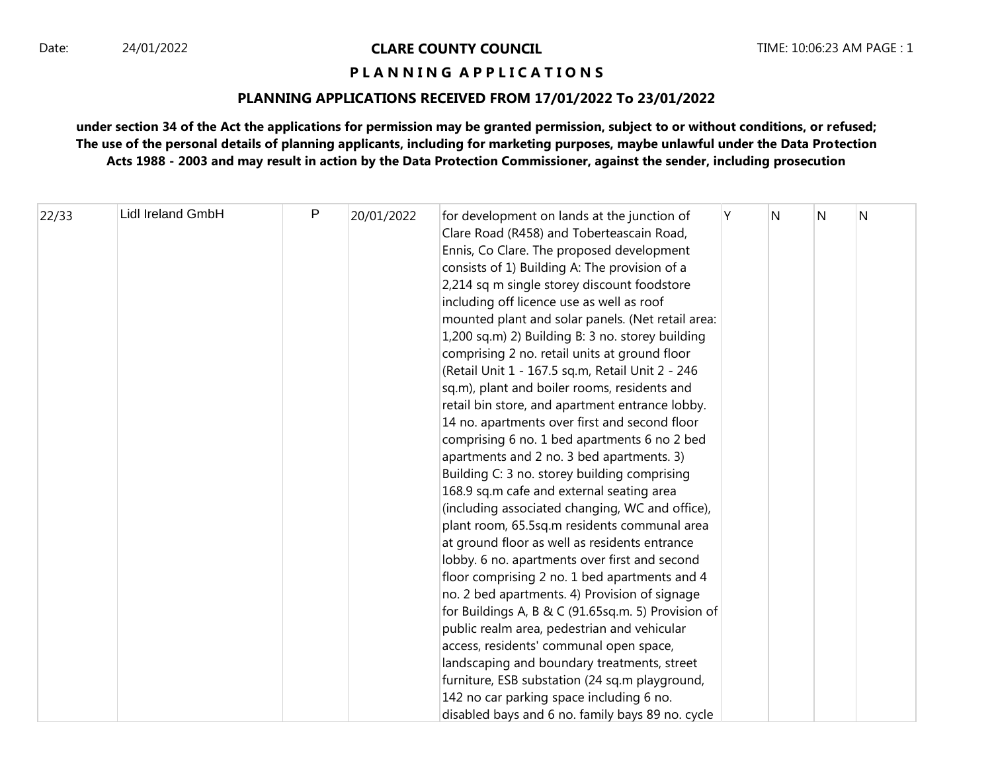# **P L A N N I N G A P P L I C A T I O N S**

#### **PLANNING APPLICATIONS RECEIVED FROM 17/01/2022 To 23/01/2022**

| 22/33 | <b>Lidl Ireland GmbH</b> | P | 20/01/2022 | for development on lands at the junction of<br>Clare Road (R458) and Toberteascain Road, | Y | N | N | N |
|-------|--------------------------|---|------------|------------------------------------------------------------------------------------------|---|---|---|---|
|       |                          |   |            |                                                                                          |   |   |   |   |
|       |                          |   |            | Ennis, Co Clare. The proposed development                                                |   |   |   |   |
|       |                          |   |            | consists of 1) Building A: The provision of a                                            |   |   |   |   |
|       |                          |   |            | 2,214 sq m single storey discount foodstore                                              |   |   |   |   |
|       |                          |   |            | including off licence use as well as roof                                                |   |   |   |   |
|       |                          |   |            | mounted plant and solar panels. (Net retail area:                                        |   |   |   |   |
|       |                          |   |            | 1,200 sq.m) 2) Building B: 3 no. storey building                                         |   |   |   |   |
|       |                          |   |            | comprising 2 no. retail units at ground floor                                            |   |   |   |   |
|       |                          |   |            | (Retail Unit 1 - 167.5 sq.m, Retail Unit 2 - 246                                         |   |   |   |   |
|       |                          |   |            | sq.m), plant and boiler rooms, residents and                                             |   |   |   |   |
|       |                          |   |            | retail bin store, and apartment entrance lobby.                                          |   |   |   |   |
|       |                          |   |            | 14 no. apartments over first and second floor                                            |   |   |   |   |
|       |                          |   |            | comprising 6 no. 1 bed apartments 6 no 2 bed                                             |   |   |   |   |
|       |                          |   |            | apartments and 2 no. 3 bed apartments. 3)                                                |   |   |   |   |
|       |                          |   |            | Building C: 3 no. storey building comprising                                             |   |   |   |   |
|       |                          |   |            | 168.9 sq.m cafe and external seating area                                                |   |   |   |   |
|       |                          |   |            | (including associated changing, WC and office),                                          |   |   |   |   |
|       |                          |   |            | plant room, 65.5sq.m residents communal area                                             |   |   |   |   |
|       |                          |   |            | at ground floor as well as residents entrance                                            |   |   |   |   |
|       |                          |   |            | lobby. 6 no. apartments over first and second                                            |   |   |   |   |
|       |                          |   |            | floor comprising 2 no. 1 bed apartments and 4                                            |   |   |   |   |
|       |                          |   |            | no. 2 bed apartments. 4) Provision of signage                                            |   |   |   |   |
|       |                          |   |            | for Buildings A, B & C (91.65sq.m. 5) Provision of                                       |   |   |   |   |
|       |                          |   |            | public realm area, pedestrian and vehicular                                              |   |   |   |   |
|       |                          |   |            | access, residents' communal open space,                                                  |   |   |   |   |
|       |                          |   |            | landscaping and boundary treatments, street                                              |   |   |   |   |
|       |                          |   |            | furniture, ESB substation (24 sq.m playground,                                           |   |   |   |   |
|       |                          |   |            | 142 no car parking space including 6 no.                                                 |   |   |   |   |
|       |                          |   |            | disabled bays and 6 no. family bays 89 no. cycle                                         |   |   |   |   |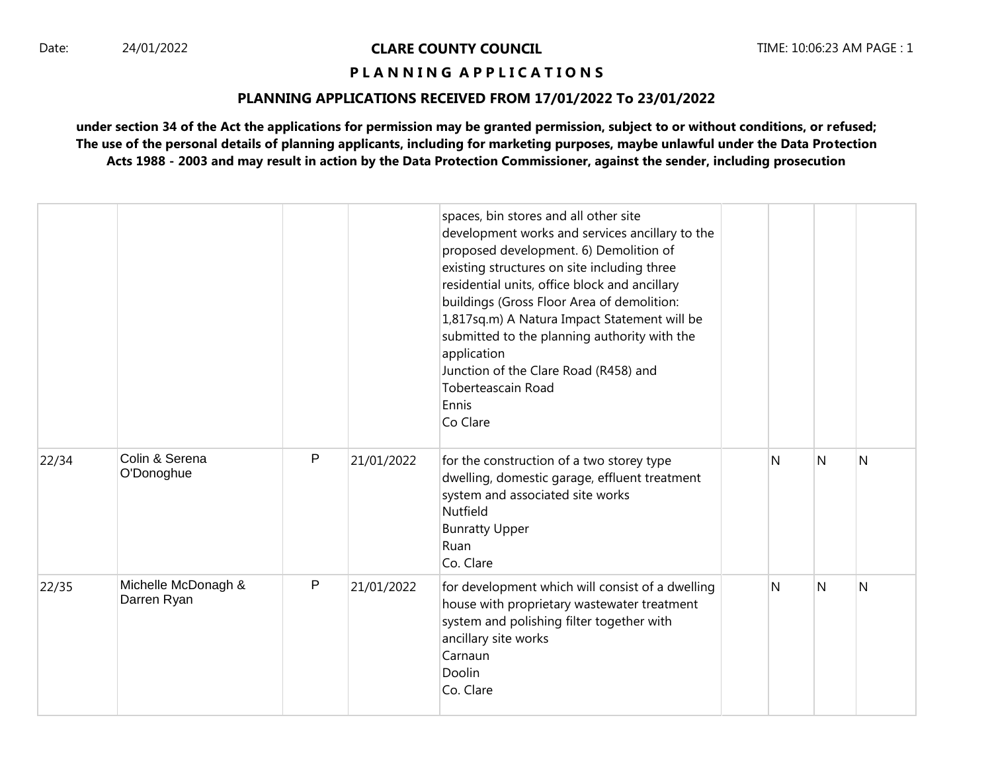### **P L A N N I N G A P P L I C A T I O N S**

#### **PLANNING APPLICATIONS RECEIVED FROM 17/01/2022 To 23/01/2022**

|       |                                    |   |            | spaces, bin stores and all other site<br>development works and services ancillary to the<br>proposed development. 6) Demolition of<br>existing structures on site including three<br>residential units, office block and ancillary<br>buildings (Gross Floor Area of demolition:<br>1,817sq.m) A Natura Impact Statement will be<br>submitted to the planning authority with the<br>application<br>Junction of the Clare Road (R458) and<br><b>Toberteascain Road</b><br>Ennis<br>Co Clare |   |   |   |
|-------|------------------------------------|---|------------|--------------------------------------------------------------------------------------------------------------------------------------------------------------------------------------------------------------------------------------------------------------------------------------------------------------------------------------------------------------------------------------------------------------------------------------------------------------------------------------------|---|---|---|
| 22/34 | Colin & Serena<br>O'Donoghue       | P | 21/01/2022 | for the construction of a two storey type<br>dwelling, domestic garage, effluent treatment<br>system and associated site works<br>Nutfield<br><b>Bunratty Upper</b><br>Ruan<br>Co. Clare                                                                                                                                                                                                                                                                                                   | N | N | N |
| 22/35 | Michelle McDonagh &<br>Darren Ryan | P | 21/01/2022 | for development which will consist of a dwelling<br>house with proprietary wastewater treatment<br>system and polishing filter together with<br>ancillary site works<br>Carnaun<br>Doolin<br>Co. Clare                                                                                                                                                                                                                                                                                     | N | N | N |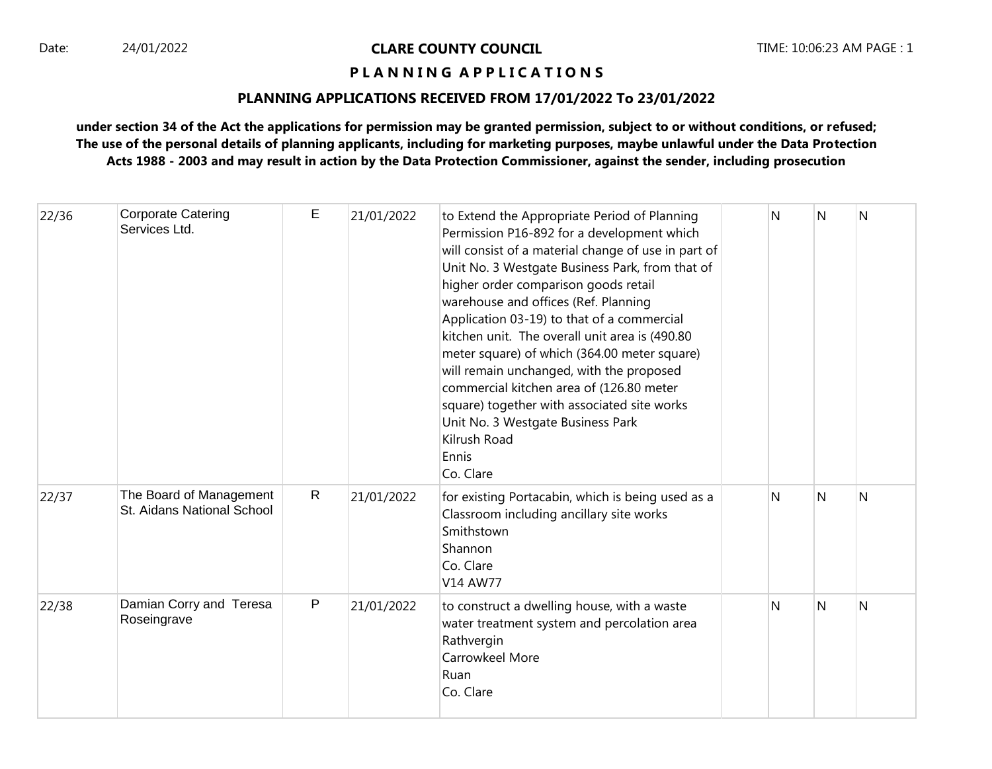# **P L A N N I N G A P P L I C A T I O N S**

#### **PLANNING APPLICATIONS RECEIVED FROM 17/01/2022 To 23/01/2022**

| 22/36 | <b>Corporate Catering</b><br>Services Ltd.            | E            | 21/01/2022 | to Extend the Appropriate Period of Planning<br>Permission P16-892 for a development which<br>will consist of a material change of use in part of<br>Unit No. 3 Westgate Business Park, from that of<br>higher order comparison goods retail<br>warehouse and offices (Ref. Planning<br>Application 03-19) to that of a commercial<br>kitchen unit. The overall unit area is (490.80<br>meter square) of which (364.00 meter square)<br>will remain unchanged, with the proposed<br>commercial kitchen area of (126.80 meter<br>square) together with associated site works<br>Unit No. 3 Westgate Business Park<br>Kilrush Road<br>Ennis<br>Co. Clare | N | N | N |
|-------|-------------------------------------------------------|--------------|------------|--------------------------------------------------------------------------------------------------------------------------------------------------------------------------------------------------------------------------------------------------------------------------------------------------------------------------------------------------------------------------------------------------------------------------------------------------------------------------------------------------------------------------------------------------------------------------------------------------------------------------------------------------------|---|---|---|
| 22/37 | The Board of Management<br>St. Aidans National School | $\mathsf{R}$ | 21/01/2022 | for existing Portacabin, which is being used as a<br>Classroom including ancillary site works<br>Smithstown<br>Shannon<br>Co. Clare<br>V14 AW77                                                                                                                                                                                                                                                                                                                                                                                                                                                                                                        | N | N | N |
| 22/38 | Damian Corry and Teresa<br>Roseingrave                | P            | 21/01/2022 | to construct a dwelling house, with a waste<br>water treatment system and percolation area<br>Rathvergin<br>Carrowkeel More<br>Ruan<br>Co. Clare                                                                                                                                                                                                                                                                                                                                                                                                                                                                                                       | N | N | N |